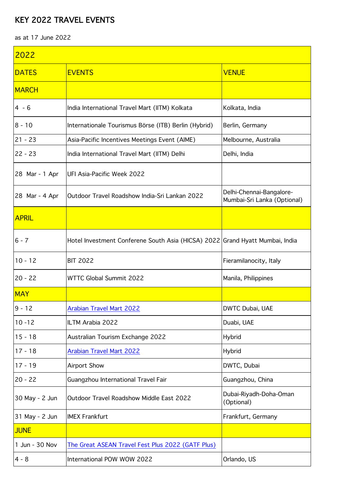## KEY 2022 TRAVEL EVENTS

as at 17 June 2022

| 2022           |                                                                              |                                                         |  |  |
|----------------|------------------------------------------------------------------------------|---------------------------------------------------------|--|--|
| <b>DATES</b>   | <b>EVENTS</b>                                                                | <b>VENUE</b>                                            |  |  |
| <b>MARCH</b>   |                                                                              |                                                         |  |  |
| $4 - 6$        | India International Travel Mart (IITM) Kolkata                               | Kolkata, India                                          |  |  |
| $8 - 10$       | Internationale Tourismus Börse (ITB) Berlin (Hybrid)                         | Berlin, Germany                                         |  |  |
| $21 - 23$      | Asia-Pacific Incentives Meetings Event (AIME)                                | Melbourne, Australia                                    |  |  |
| $22 - 23$      | India International Travel Mart (IITM) Delhi                                 | Delhi, India                                            |  |  |
| 28 Mar - 1 Apr | UFI Asia-Pacific Week 2022                                                   |                                                         |  |  |
| 28 Mar - 4 Apr | Outdoor Travel Roadshow India-Sri Lankan 2022                                | Delhi-Chennai-Bangalore-<br>Mumbai-Sri Lanka (Optional) |  |  |
| <b>APRIL</b>   |                                                                              |                                                         |  |  |
| $6 - 7$        | Hotel Investment Conferene South Asia (HICSA) 2022 Grand Hyatt Mumbai, India |                                                         |  |  |
| $10 - 12$      | <b>BIT 2022</b>                                                              | Fieramilanocity, Italy                                  |  |  |
| $20 - 22$      | <b>WTTC Global Summit 2022</b>                                               | Manila, Philippines                                     |  |  |
| <b>MAY</b>     |                                                                              |                                                         |  |  |
| $9 - 12$       | <b>Arabian Travel Mart 2022</b>                                              | DWTC Dubai, UAE                                         |  |  |
| $10 - 12$      | ILTM Arabia 2022                                                             | Duabi, UAE                                              |  |  |
| $15 - 18$      | Australian Tourism Exchange 2022                                             | <b>Hybrid</b>                                           |  |  |
| $17 - 18$      | <b>Arabian Travel Mart 2022</b>                                              | <b>Hybrid</b>                                           |  |  |
| $17 - 19$      | Airport Show                                                                 | DWTC, Dubai                                             |  |  |
| $20 - 22$      | Guangzhou International Travel Fair                                          | Guangzhou, China                                        |  |  |
| 30 May - 2 Jun | Outdoor Travel Roadshow Middle East 2022                                     | Dubai-Riyadh-Doha-Oman<br>(Optional)                    |  |  |
| 31 May - 2 Jun | <b>IMEX Frankfurt</b>                                                        | Frankfurt, Germany                                      |  |  |
| <b>JUNE</b>    |                                                                              |                                                         |  |  |
| 1 Jun - 30 Nov | The Great ASEAN Travel Fest Plus 2022 (GATF Plus)                            |                                                         |  |  |
| $4 - 8$        | International POW WOW 2022                                                   | Orlando, US                                             |  |  |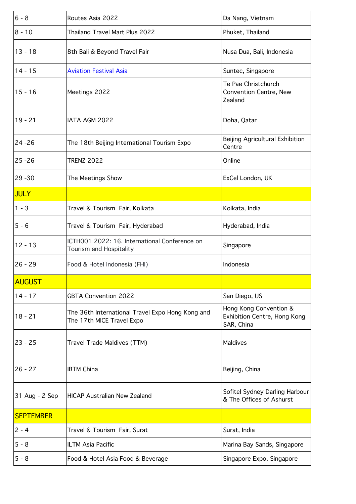| $ 6 - 8$         | Routes Asia 2022                                                              | Da Nang, Vietnam                                                     |
|------------------|-------------------------------------------------------------------------------|----------------------------------------------------------------------|
| 8 - 10           | Thailand Travel Mart Plus 2022                                                | Phuket, Thailand                                                     |
| $13 - 18$        | 8th Bali & Beyond Travel Fair                                                 | Nusa Dua, Bali, Indonesia                                            |
| $14 - 15$        | <b>Aviation Festival Asia</b>                                                 | Suntec, Singapore                                                    |
| $15 - 16$        | Meetings 2022                                                                 | Te Pae Christchurch<br>Convention Centre, New<br>Zealand             |
| $19 - 21$        | IATA AGM 2022                                                                 | Doha, Qatar                                                          |
| 24 -26           | The 18th Beijing International Tourism Expo                                   | Beijing Agricultural Exhibition<br>Centre                            |
| 25 -26           | <b>TRENZ 2022</b>                                                             | Online                                                               |
| 29 - 30          | The Meetings Show                                                             | ExCel London, UK                                                     |
| <b>JULY</b>      |                                                                               |                                                                      |
| $ 1 - 3 $        | Travel & Tourism Fair, Kolkata                                                | Kolkata, India                                                       |
| $5 - 6$          | Travel & Tourism Fair, Hyderabad                                              | Hyderabad, India                                                     |
| $12 - 13$        | ICTH001 2022: 16. International Conference on<br>Tourism and Hospitality      | Singapore                                                            |
| 26 - 29          | Food & Hotel Indonesia (FHI)                                                  | Indonesia                                                            |
| <b>AUGUST</b>    |                                                                               |                                                                      |
| $14 - 17$        | <b>GBTA Convention 2022</b>                                                   | San Diego, US                                                        |
| $18 - 21$        | The 36th International Travel Expo Hong Kong and<br>The 17th MICE Travel Expo | Hong Kong Convention &<br>Exhibition Centre, Hong Kong<br>SAR, China |
| 23 - 25          | Travel Trade Maldives (TTM)                                                   | Maldives                                                             |
| 26 - 27          | <b>IBTM China</b>                                                             | Beijing, China                                                       |
| 31 Aug - 2 Sep   | <b>HICAP Australian New Zealand</b>                                           | Sofitel Sydney Darling Harbour<br>& The Offices of Ashurst           |
| <b>SEPTEMBER</b> |                                                                               |                                                                      |
| $ 2 - 4 $        | Travel & Tourism Fair, Surat                                                  | Surat, India                                                         |
| $5 - 8$          | ILTM Asia Pacific                                                             | Marina Bay Sands, Singapore                                          |
| $5 - 8$          | Food & Hotel Asia Food & Beverage                                             | Singapore Expo, Singapore                                            |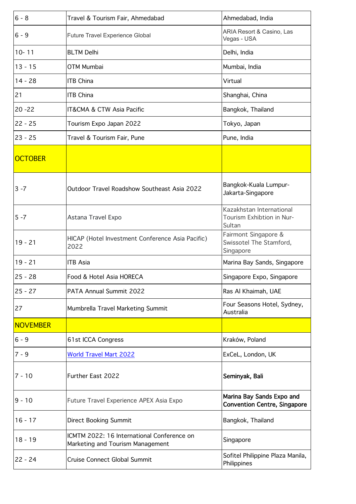| $6 - 8$         | Travel & Tourism Fair, Ahmedabad                                               | Ahmedabad, India                                                 |
|-----------------|--------------------------------------------------------------------------------|------------------------------------------------------------------|
| $6 - 9$         | <b>Future Travel Experience Global</b>                                         | ARIA Resort & Casino, Las<br>Vegas - USA                         |
| $10 - 11$       | <b>BLTM Delhi</b>                                                              | Delhi, India                                                     |
| $13 - 15$       | OTM Mumbai                                                                     | Mumbai, India                                                    |
| $14 - 28$       | <b>ITB China</b>                                                               | Virtual                                                          |
| 21              | <b>ITB China</b>                                                               | Shanghai, China                                                  |
| $20 - 22$       | IT&CMA & CTW Asia Pacific                                                      | Bangkok, Thailand                                                |
| $22 - 25$       | Tourism Expo Japan 2022                                                        | Tokyo, Japan                                                     |
| $23 - 25$       | Travel & Tourism Fair, Pune                                                    | Pune, India                                                      |
| <b>OCTOBER</b>  |                                                                                |                                                                  |
| 3 -7            | Outdoor Travel Roadshow Southeast Asia 2022                                    | Bangkok-Kuala Lumpur-<br>Jakarta-Singapore                       |
| $5 - 7$         | Astana Travel Expo                                                             | Kazakhstan International<br>Tourism Exhibtion in Nur-<br>Sultan  |
| $19 - 21$       | HICAP (Hotel Investment Conference Asia Pacific)<br>2022                       | Fairmont Singapore &<br>Swissotel The Stamford,<br>Singapore     |
| $19 - 21$       | <b>ITB Asia</b>                                                                | Marina Bay Sands, Singapore                                      |
| $25 - 28$       | Food & Hotel Asia HORECA                                                       | Singapore Expo, Singapore                                        |
| $25 - 27$       | PATA Annual Summit 2022                                                        | Ras Al Khaimah, UAE                                              |
| 27              | Mumbrella Travel Marketing Summit                                              | Four Seasons Hotel, Sydney,<br>Australia                         |
| <b>NOVEMBER</b> |                                                                                |                                                                  |
| $6 - 9$         | 61st ICCA Congress                                                             | Kraków, Poland                                                   |
| $7 - 9$         | <b>World Travel Mart 2022</b>                                                  | ExCeL, London, UK                                                |
| $7 - 10$        | Further East 2022                                                              | Seminyak, Bali                                                   |
| $9 - 10$        | Future Travel Experience APEX Asia Expo                                        | Marina Bay Sands Expo and<br><b>Convention Centre, Singapore</b> |
| $16 - 17$       | <b>Direct Booking Summit</b>                                                   | Bangkok, Thailand                                                |
| $18 - 19$       | ICMTM 2022: 16 International Conference on<br>Marketing and Tourism Management | Singapore                                                        |
| 22 - 24         | <b>Cruise Connect Global Summit</b>                                            | Sofitel Philippine Plaza Manila,<br>Philippines                  |